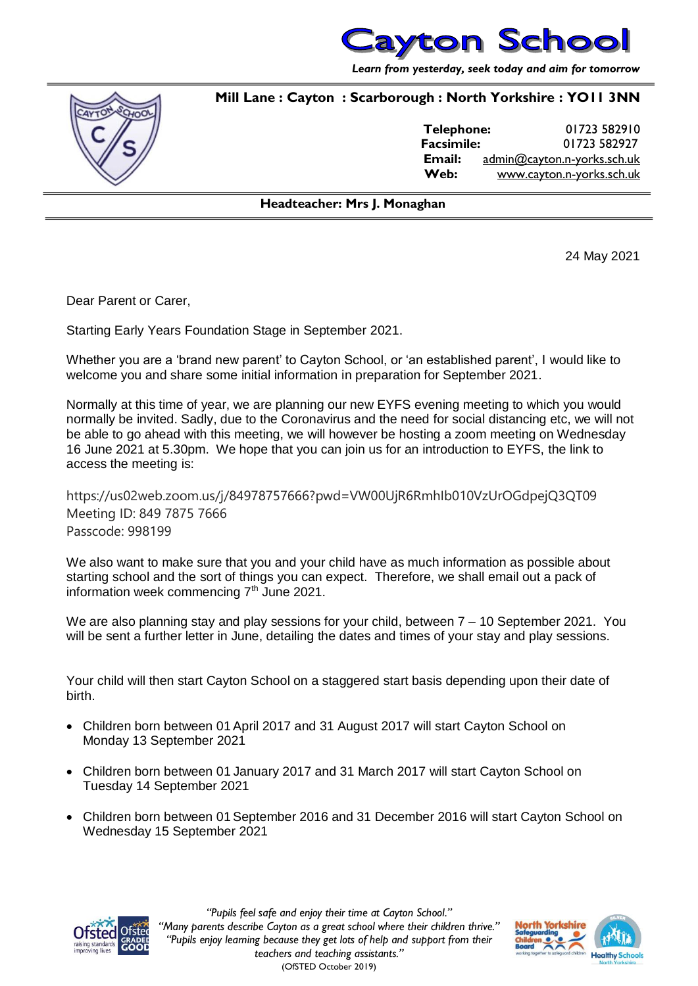

*Learn from yesterday, seek today and aim for tomorrow*

## **Mill Lane : Cayton : Scarborough : North Yorkshire : YO11 3NN**



**Telephone:** 01723 582910 **Facsimile:** 01723 582927 **Email:** [admin@cayton.n-yorks.sch.uk](mailto:admin@cayton.n-yorks.sch.uk) **Web:** [www.cayton.n-yorks.sch.uk](http://www.cayton.n-yorks.sch.uk/)

## **Headteacher: Mrs J. Monaghan**

24 May 2021

Dear Parent or Carer,

Starting Early Years Foundation Stage in September 2021.

Whether you are a 'brand new parent' to Cayton School, or 'an established parent', I would like to welcome you and share some initial information in preparation for September 2021.

Normally at this time of year, we are planning our new EYFS evening meeting to which you would normally be invited. Sadly, due to the Coronavirus and the need for social distancing etc, we will not be able to go ahead with this meeting, we will however be hosting a zoom meeting on Wednesday 16 June 2021 at 5.30pm. We hope that you can join us for an introduction to EYFS, the link to access the meeting is:

https://us02web.zoom.us/j/84978757666?pwd=VW00UjR6RmhIb010VzUrOGdpejQ3QT09 Meeting ID: 849 7875 7666 Passcode: 998199

We also want to make sure that you and your child have as much information as possible about starting school and the sort of things you can expect. Therefore, we shall email out a pack of information week commencing  $7<sup>th</sup>$  June 2021.

We are also planning stay and play sessions for your child, between  $7 - 10$  September 2021. You will be sent a further letter in June, detailing the dates and times of your stay and play sessions.

Your child will then start Cayton School on a staggered start basis depending upon their date of birth.

- Children born between 01 April 2017 and 31 August 2017 will start Cayton School on Monday 13 September 2021
- Children born between 01 January 2017 and 31 March 2017 will start Cayton School on Tuesday 14 September 2021
- Children born between 01 September 2016 and 31 December 2016 will start Cayton School on Wednesday 15 September 2021